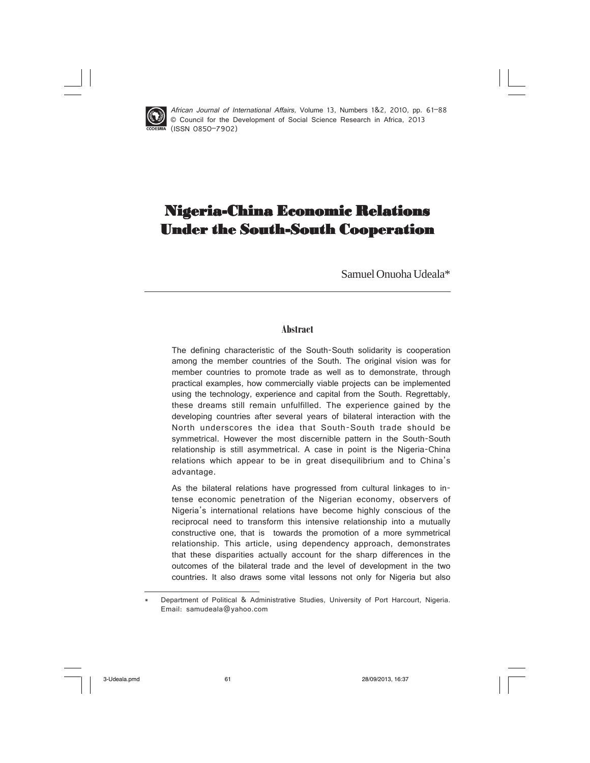

 African Journal of International Affairs, Volume 13, Numbers 1&2, 2010, pp. 61–88 © Council for the Development of Social Science Research in Africa, 2013 (ISSN 0850–7902)

# Nigeria-China Economic Relations Under the South-South Cooperation

Samuel Onuoha Udeala\*

## **Abstract**

The defining characteristic of the South-South solidarity is cooperation among the member countries of the South. The original vision was for member countries to promote trade as well as to demonstrate, through practical examples, how commercially viable projects can be implemented using the technology, experience and capital from the South. Regrettably, these dreams still remain unfulfilled. The experience gained by the developing countries after several years of bilateral interaction with the North underscores the idea that South-South trade should be symmetrical. However the most discernible pattern in the South-South relationship is still asymmetrical. A case in point is the Nigeria-China relations which appear to be in great disequilibrium and to China's advantage.

As the bilateral relations have progressed from cultural linkages to intense economic penetration of the Nigerian economy, observers of Nigeria's international relations have become highly conscious of the reciprocal need to transform this intensive relationship into a mutually constructive one, that is towards the promotion of a more symmetrical relationship. This article, using dependency approach, demonstrates that these disparities actually account for the sharp differences in the outcomes of the bilateral trade and the level of development in the two countries. It also draws some vital lessons not only for Nigeria but also

Department of Political & Administrative Studies, University of Port Harcourt, Nigeria. Email: samudeala@yahoo.com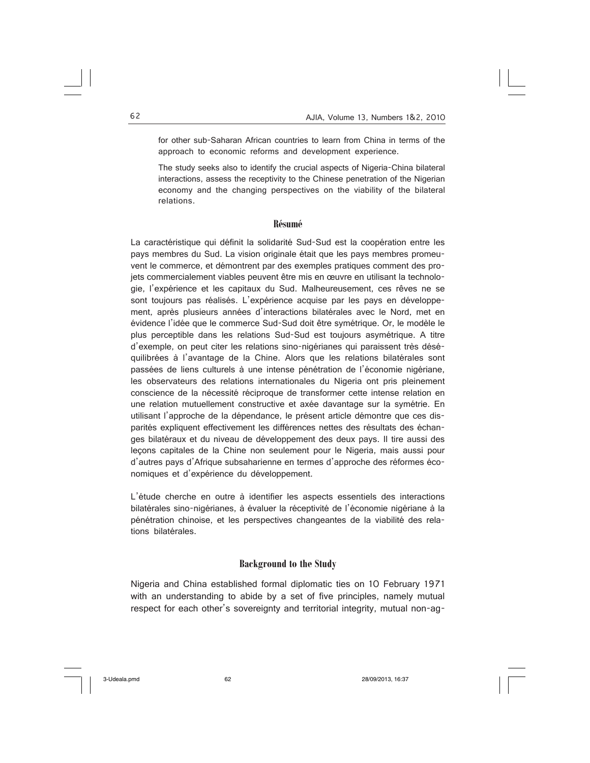for other sub-Saharan African countries to learn from China in terms of the approach to economic reforms and development experience.

The study seeks also to identify the crucial aspects of Nigeria-China bilateral interactions, assess the receptivity to the Chinese penetration of the Nigerian economy and the changing perspectives on the viability of the bilateral relations.

#### **Résumé**

La caractéristique qui définit la solidarité Sud-Sud est la coopération entre les pays membres du Sud. La vision originale était que les pays membres promeuvent le commerce, et démontrent par des exemples pratiques comment des projets commercialement viables peuvent être mis en œuvre en utilisant la technologie, l'expérience et les capitaux du Sud. Malheureusement, ces rêves ne se sont toujours pas réalisés. L'expérience acquise par les pays en développement, après plusieurs années d'interactions bilatérales avec le Nord, met en évidence l'idée que le commerce Sud-Sud doit être symétrique. Or, le modèle le plus perceptible dans les relations Sud-Sud est toujours asymétrique. A titre d'exemple, on peut citer les relations sino-nigérianes qui paraissent très déséquilibrées à l'avantage de la Chine. Alors que les relations bilatérales sont passées de liens culturels à une intense pénétration de l'économie nigériane, les observateurs des relations internationales du Nigeria ont pris pleinement conscience de la nécessité réciproque de transformer cette intense relation en une relation mutuellement constructive et axée davantage sur la symétrie. En utilisant l'approche de la dépendance, le présent article démontre que ces disparités expliquent effectivement les différences nettes des résultats des échanges bilatéraux et du niveau de développement des deux pays. Il tire aussi des leçons capitales de la Chine non seulement pour le Nigeria, mais aussi pour d'autres pays d'Afrique subsaharienne en termes d'approche des réformes économiques et d'expérience du développement.

L'étude cherche en outre à identifier les aspects essentiels des interactions bilatérales sino-nigérianes, à évaluer la réceptivité de l'économie nigériane à la pénétration chinoise, et les perspectives changeantes de la viabilité des relations bilatérales.

#### **Background to the Study**

Nigeria and China established formal diplomatic ties on 10 February 1971 with an understanding to abide by a set of five principles, namely mutual respect for each other's sovereignty and territorial integrity, mutual non-ag-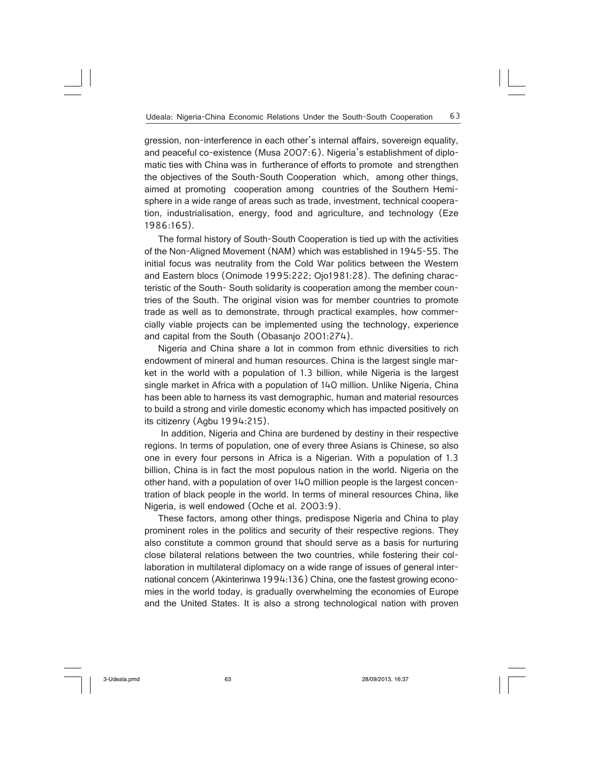gression, non-interference in each other's internal affairs, sovereign equality, and peaceful co-existence (Musa 2007:6). Nigeria's establishment of diplomatic ties with China was in furtherance of efforts to promote and strengthen the objectives of the South-South Cooperation which, among other things, aimed at promoting cooperation among countries of the Southern Hemisphere in a wide range of areas such as trade, investment, technical cooperation, industrialisation, energy, food and agriculture, and technology (Eze 1986:165).

The formal history of South-South Cooperation is tied up with the activities of the Non-Aligned Movement (NAM) which was established in 1945-55. The initial focus was neutrality from the Cold War politics between the Western and Eastern blocs (Onimode 1995:222; Ojo1981:28). The defining characteristic of the South- South solidarity is cooperation among the member countries of the South. The original vision was for member countries to promote trade as well as to demonstrate, through practical examples, how commercially viable projects can be implemented using the technology, experience and capital from the South (Obasanjo 2001:274).

Nigeria and China share a lot in common from ethnic diversities to rich endowment of mineral and human resources. China is the largest single market in the world with a population of 1.3 billion, while Nigeria is the largest single market in Africa with a population of 140 million. Unlike Nigeria, China has been able to harness its vast demographic, human and material resources to build a strong and virile domestic economy which has impacted positively on its citizenry (Agbu 1994:215).

 In addition, Nigeria and China are burdened by destiny in their respective regions. In terms of population, one of every three Asians is Chinese, so also one in every four persons in Africa is a Nigerian. With a population of 1.3 billion, China is in fact the most populous nation in the world. Nigeria on the other hand, with a population of over 140 million people is the largest concentration of black people in the world. In terms of mineral resources China, like Nigeria, is well endowed (Oche et al. 2003:9).

These factors, among other things, predispose Nigeria and China to play prominent roles in the politics and security of their respective regions. They also constitute a common ground that should serve as a basis for nurturing close bilateral relations between the two countries, while fostering their collaboration in multilateral diplomacy on a wide range of issues of general international concern (Akinterinwa 1994:136) China, one the fastest growing economies in the world today, is gradually overwhelming the economies of Europe and the United States. It is also a strong technological nation with proven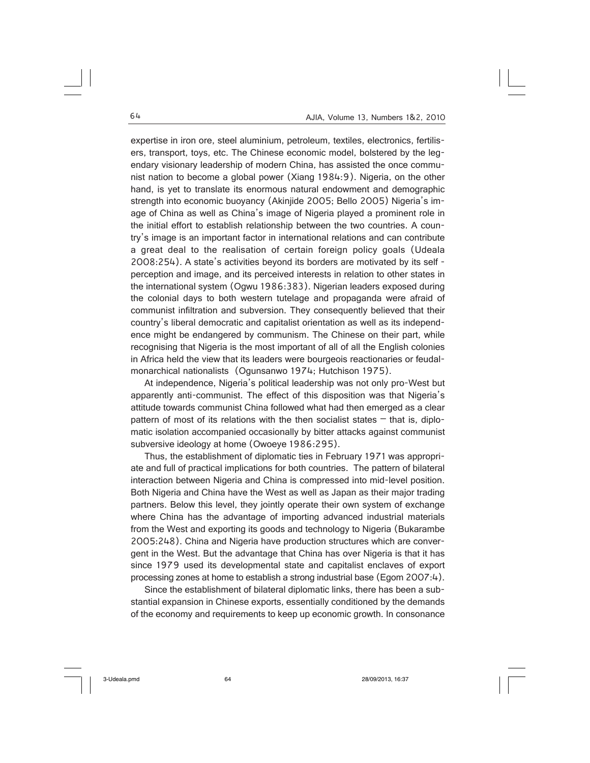expertise in iron ore, steel aluminium, petroleum, textiles, electronics, fertilisers, transport, toys, etc. The Chinese economic model, bolstered by the legendary visionary leadership of modern China, has assisted the once communist nation to become a global power (Xiang 1984:9). Nigeria, on the other hand, is yet to translate its enormous natural endowment and demographic strength into economic buoyancy (Akinjide 2005; Bello 2005) Nigeria's image of China as well as China's image of Nigeria played a prominent role in the initial effort to establish relationship between the two countries. A country's image is an important factor in international relations and can contribute a great deal to the realisation of certain foreign policy goals (Udeala 2008:254). A state's activities beyond its borders are motivated by its self perception and image, and its perceived interests in relation to other states in the international system (Ogwu 1986:383). Nigerian leaders exposed during the colonial days to both western tutelage and propaganda were afraid of communist infiltration and subversion. They consequently believed that their country's liberal democratic and capitalist orientation as well as its independence might be endangered by communism. The Chinese on their part, while recognising that Nigeria is the most important of all of all the English colonies in Africa held the view that its leaders were bourgeois reactionaries or feudalmonarchical nationalists (Ogunsanwo 1974; Hutchison 1975).

At independence, Nigeria's political leadership was not only pro-West but apparently anti-communist. The effect of this disposition was that Nigeria's attitude towards communist China followed what had then emerged as a clear pattern of most of its relations with the then socialist states  $-$  that is, diplomatic isolation accompanied occasionally by bitter attacks against communist subversive ideology at home (Owoeye 1986:295).

Thus, the establishment of diplomatic ties in February 1971 was appropriate and full of practical implications for both countries. The pattern of bilateral interaction between Nigeria and China is compressed into mid-level position. Both Nigeria and China have the West as well as Japan as their major trading partners. Below this level, they jointly operate their own system of exchange where China has the advantage of importing advanced industrial materials from the West and exporting its goods and technology to Nigeria (Bukarambe 2005:248). China and Nigeria have production structures which are convergent in the West. But the advantage that China has over Nigeria is that it has since 1979 used its developmental state and capitalist enclaves of export processing zones at home to establish a strong industrial base (Egom 2007:4).

Since the establishment of bilateral diplomatic links, there has been a substantial expansion in Chinese exports, essentially conditioned by the demands of the economy and requirements to keep up economic growth. In consonance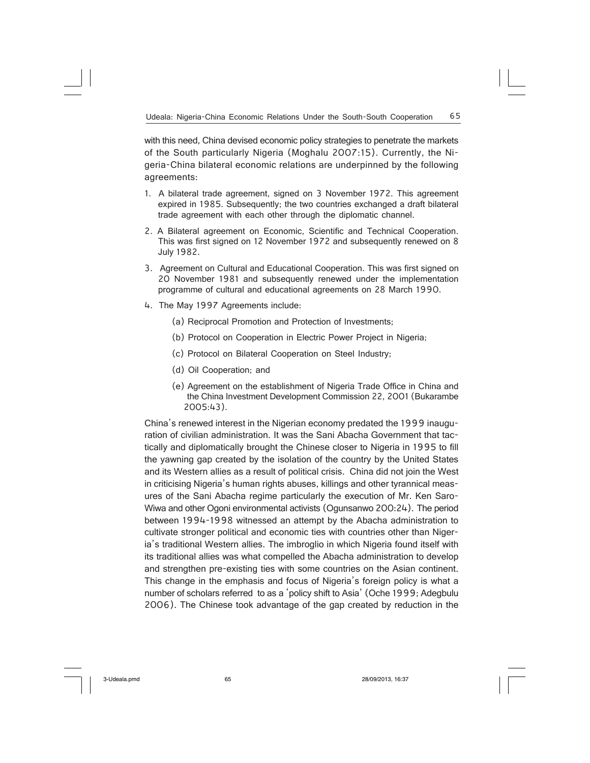with this need, China devised economic policy strategies to penetrate the markets of the South particularly Nigeria (Moghalu 2007:15). Currently, the Nigeria-China bilateral economic relations are underpinned by the following agreements:

- 1. A bilateral trade agreement, signed on 3 November 1972. This agreement expired in 1985. Subsequently; the two countries exchanged a draft bilateral trade agreement with each other through the diplomatic channel.
- 2. A Bilateral agreement on Economic, Scientific and Technical Cooperation. This was first signed on 12 November 1972 and subsequently renewed on 8 July 1982.
- 3. Agreement on Cultural and Educational Cooperation. This was first signed on 20 November 1981 and subsequently renewed under the implementation programme of cultural and educational agreements on 28 March 1990.
- 4. The May 1997 Agreements include:
	- (a) Reciprocal Promotion and Protection of Investments;
	- (b) Protocol on Cooperation in Electric Power Project in Nigeria;
	- (c) Protocol on Bilateral Cooperation on Steel Industry;
	- (d) Oil Cooperation; and
	- (e) Agreement on the establishment of Nigeria Trade Office in China and the China Investment Development Commission 22, 2001 (Bukarambe 2005:43).

China's renewed interest in the Nigerian economy predated the 1999 inauguration of civilian administration. It was the Sani Abacha Government that tactically and diplomatically brought the Chinese closer to Nigeria in 1995 to fill the yawning gap created by the isolation of the country by the United States and its Western allies as a result of political crisis. China did not join the West in criticising Nigeria's human rights abuses, killings and other tyrannical measures of the Sani Abacha regime particularly the execution of Mr. Ken Saro-Wiwa and other Ogoni environmental activists (Ogunsanwo 200:24). The period between 1994-1998 witnessed an attempt by the Abacha administration to cultivate stronger political and economic ties with countries other than Nigeria's traditional Western allies. The imbroglio in which Nigeria found itself with its traditional allies was what compelled the Abacha administration to develop and strengthen pre-existing ties with some countries on the Asian continent. This change in the emphasis and focus of Nigeria's foreign policy is what a number of scholars referred to as a 'policy shift to Asia' (Oche 1999; Adegbulu 2006). The Chinese took advantage of the gap created by reduction in the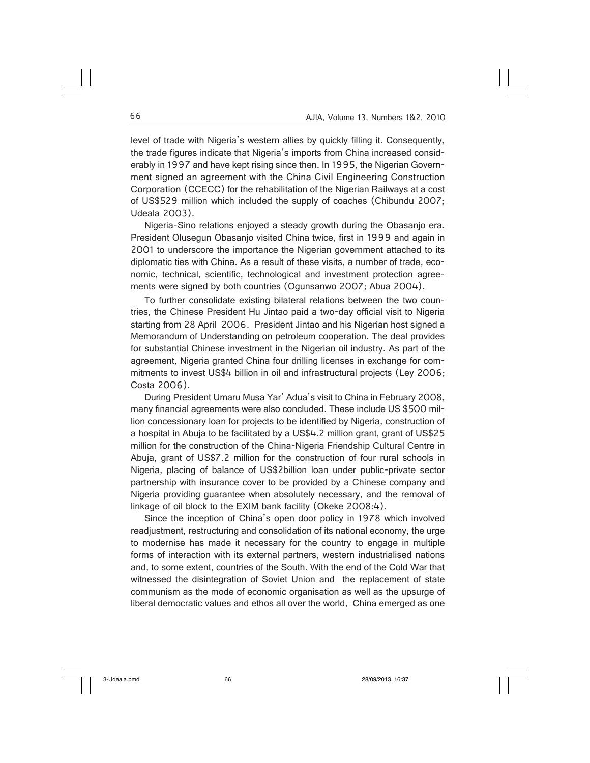level of trade with Nigeria's western allies by quickly filling it. Consequently, the trade figures indicate that Nigeria's imports from China increased considerably in 1997 and have kept rising since then. In 1995, the Nigerian Government signed an agreement with the China Civil Engineering Construction Corporation (CCECC) for the rehabilitation of the Nigerian Railways at a cost of US\$529 million which included the supply of coaches (Chibundu 2007; Udeala 2003).

Nigeria-Sino relations enjoyed a steady growth during the Obasanjo era. President Olusegun Obasanjo visited China twice, first in 1999 and again in 2001 to underscore the importance the Nigerian government attached to its diplomatic ties with China. As a result of these visits, a number of trade, economic, technical, scientific, technological and investment protection agreements were signed by both countries (Ogunsanwo 2007; Abua 2004).

To further consolidate existing bilateral relations between the two countries, the Chinese President Hu Jintao paid a two-day official visit to Nigeria starting from 28 April 2006. President Jintao and his Nigerian host signed a Memorandum of Understanding on petroleum cooperation. The deal provides for substantial Chinese investment in the Nigerian oil industry. As part of the agreement, Nigeria granted China four drilling licenses in exchange for commitments to invest US\$4 billion in oil and infrastructural projects (Ley 2006; Costa 2006).

During President Umaru Musa Yar' Adua's visit to China in February 2008, many financial agreements were also concluded. These include US \$500 million concessionary loan for projects to be identified by Nigeria, construction of a hospital in Abuja to be facilitated by a US\$4.2 million grant, grant of US\$25 million for the construction of the China-Nigeria Friendship Cultural Centre in Abuja, grant of US\$7.2 million for the construction of four rural schools in Nigeria, placing of balance of US\$2billion loan under public-private sector partnership with insurance cover to be provided by a Chinese company and Nigeria providing guarantee when absolutely necessary, and the removal of linkage of oil block to the EXIM bank facility (Okeke 2008:4).

Since the inception of China's open door policy in 1978 which involved readjustment, restructuring and consolidation of its national economy, the urge to modernise has made it necessary for the country to engage in multiple forms of interaction with its external partners, western industrialised nations and, to some extent, countries of the South. With the end of the Cold War that witnessed the disintegration of Soviet Union and the replacement of state communism as the mode of economic organisation as well as the upsurge of liberal democratic values and ethos all over the world, China emerged as one

3-Udeala.pmd 66 28/09/2013, 16:37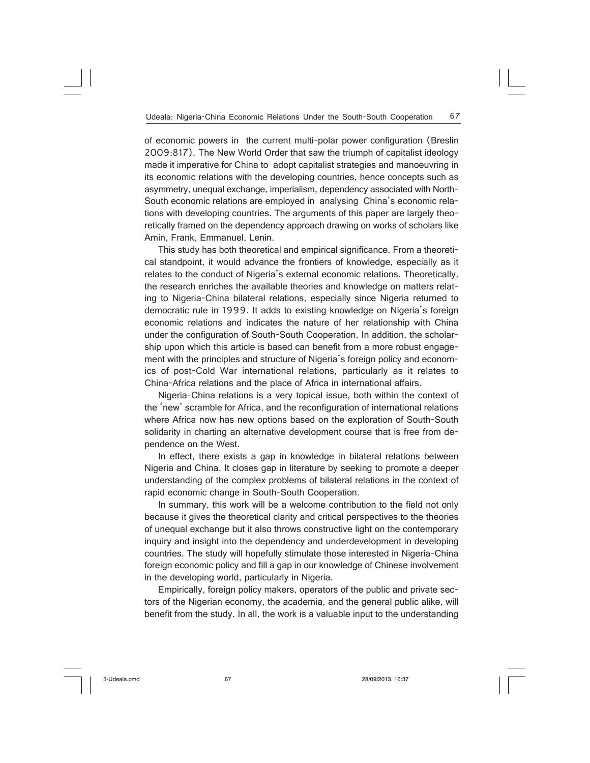of economic powers in the current multi-polar power configuration (Breslin 2009:817). The New World Order that saw the triumph of capitalist ideology made it imperative for China to adopt capitalist strategies and manoeuvring in its economic relations with the developing countries, hence concepts such as asymmetry, unequal exchange, imperialism, dependency associated with North-South economic relations are employed in analysing China's economic relations with developing countries. The arguments of this paper are largely theoretically framed on the dependency approach drawing on works of scholars like Amin, Frank, Emmanuel, Lenin.

This study has both theoretical and empirical significance. From a theoretical standpoint, it would advance the frontiers of knowledge, especially as it relates to the conduct of Nigeria's external economic relations. Theoretically, the research enriches the available theories and knowledge on matters relating to Nigeria-China bilateral relations, especially since Nigeria returned to democratic rule in 1999. It adds to existing knowledge on Nigeria's foreign economic relations and indicates the nature of her relationship with China under the configuration of South-South Cooperation. In addition, the scholarship upon which this article is based can benefit from a more robust engagement with the principles and structure of Nigeria's foreign policy and economics of post-Cold War international relations, particularly as it relates to China-Africa relations and the place of Africa in international affairs.

Nigeria-China relations is a very topical issue, both within the context of the 'new' scramble for Africa, and the reconfiguration of international relations where Africa now has new options based on the exploration of South-South solidarity in charting an alternative development course that is free from dependence on the West.

In effect, there exists a gap in knowledge in bilateral relations between Nigeria and China. It closes gap in literature by seeking to promote a deeper understanding of the complex problems of bilateral relations in the context of rapid economic change in South-South Cooperation.

In summary, this work will be a welcome contribution to the field not only because it gives the theoretical clarity and critical perspectives to the theories of unequal exchange but it also throws constructive light on the contemporary inquiry and insight into the dependency and underdevelopment in developing countries. The study will hopefully stimulate those interested in Nigeria-China foreign economic policy and fill a gap in our knowledge of Chinese involvement in the developing world, particularly in Nigeria.

Empirically, foreign policy makers, operators of the public and private sectors of the Nigerian economy, the academia, and the general public alike, will benefit from the study. In all, the work is a valuable input to the understanding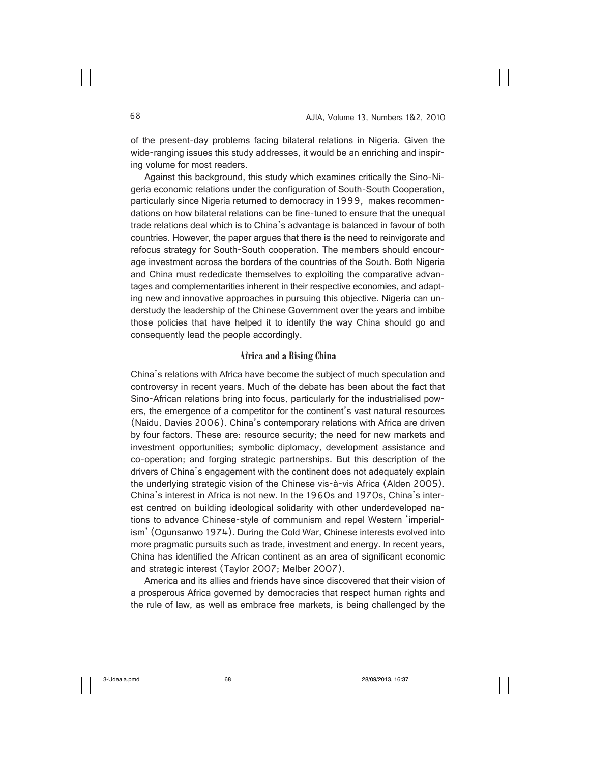of the present-day problems facing bilateral relations in Nigeria. Given the wide-ranging issues this study addresses, it would be an enriching and inspiring volume for most readers.

Against this background, this study which examines critically the Sino-Nigeria economic relations under the configuration of South-South Cooperation, particularly since Nigeria returned to democracy in 1999, makes recommendations on how bilateral relations can be fine-tuned to ensure that the unequal trade relations deal which is to China's advantage is balanced in favour of both countries. However, the paper argues that there is the need to reinvigorate and refocus strategy for South-South cooperation. The members should encourage investment across the borders of the countries of the South. Both Nigeria and China must rededicate themselves to exploiting the comparative advantages and complementarities inherent in their respective economies, and adapting new and innovative approaches in pursuing this objective. Nigeria can understudy the leadership of the Chinese Government over the years and imbibe those policies that have helped it to identify the way China should go and consequently lead the people accordingly.

## **Africa and a Rising China**

China's relations with Africa have become the subject of much speculation and controversy in recent years. Much of the debate has been about the fact that Sino-African relations bring into focus, particularly for the industrialised powers, the emergence of a competitor for the continent's vast natural resources (Naidu, Davies 2006). China's contemporary relations with Africa are driven by four factors. These are: resource security; the need for new markets and investment opportunities; symbolic diplomacy, development assistance and co-operation; and forging strategic partnerships. But this description of the drivers of China's engagement with the continent does not adequately explain the underlying strategic vision of the Chinese vis-à-vis Africa (Alden 2005). China's interest in Africa is not new. In the 1960s and 1970s, China's interest centred on building ideological solidarity with other underdeveloped nations to advance Chinese-style of communism and repel Western 'imperialism' (Ogunsanwo 1974). During the Cold War, Chinese interests evolved into more pragmatic pursuits such as trade, investment and energy. In recent years, China has identified the African continent as an area of significant economic and strategic interest (Taylor 2007; Melber 2007).

America and its allies and friends have since discovered that their vision of a prosperous Africa governed by democracies that respect human rights and the rule of law, as well as embrace free markets, is being challenged by the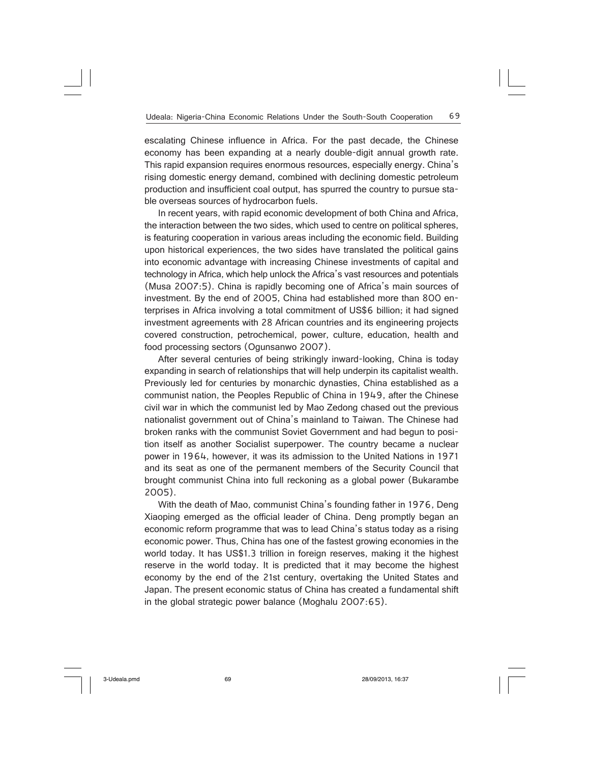escalating Chinese influence in Africa. For the past decade, the Chinese economy has been expanding at a nearly double-digit annual growth rate. This rapid expansion requires enormous resources, especially energy. China's rising domestic energy demand, combined with declining domestic petroleum production and insufficient coal output, has spurred the country to pursue stable overseas sources of hydrocarbon fuels.

In recent years, with rapid economic development of both China and Africa, the interaction between the two sides, which used to centre on political spheres, is featuring cooperation in various areas including the economic field. Building upon historical experiences, the two sides have translated the political gains into economic advantage with increasing Chinese investments of capital and technology in Africa, which help unlock the Africa's vast resources and potentials (Musa 2007:5). China is rapidly becoming one of Africa's main sources of investment. By the end of 2005, China had established more than 800 enterprises in Africa involving a total commitment of US\$6 billion; it had signed investment agreements with 28 African countries and its engineering projects covered construction, petrochemical, power, culture, education, health and food processing sectors (Ogunsanwo 2007).

After several centuries of being strikingly inward-looking, China is today expanding in search of relationships that will help underpin its capitalist wealth. Previously led for centuries by monarchic dynasties, China established as a communist nation, the Peoples Republic of China in 1949, after the Chinese civil war in which the communist led by Mao Zedong chased out the previous nationalist government out of China's mainland to Taiwan. The Chinese had broken ranks with the communist Soviet Government and had begun to position itself as another Socialist superpower. The country became a nuclear power in 1964, however, it was its admission to the United Nations in 1971 and its seat as one of the permanent members of the Security Council that brought communist China into full reckoning as a global power (Bukarambe 2005).

With the death of Mao, communist China's founding father in 1976, Deng Xiaoping emerged as the official leader of China. Deng promptly began an economic reform programme that was to lead China's status today as a rising economic power. Thus, China has one of the fastest growing economies in the world today. It has US\$1.3 trillion in foreign reserves, making it the highest reserve in the world today. It is predicted that it may become the highest economy by the end of the 21st century, overtaking the United States and Japan. The present economic status of China has created a fundamental shift in the global strategic power balance (Moghalu 2007:65).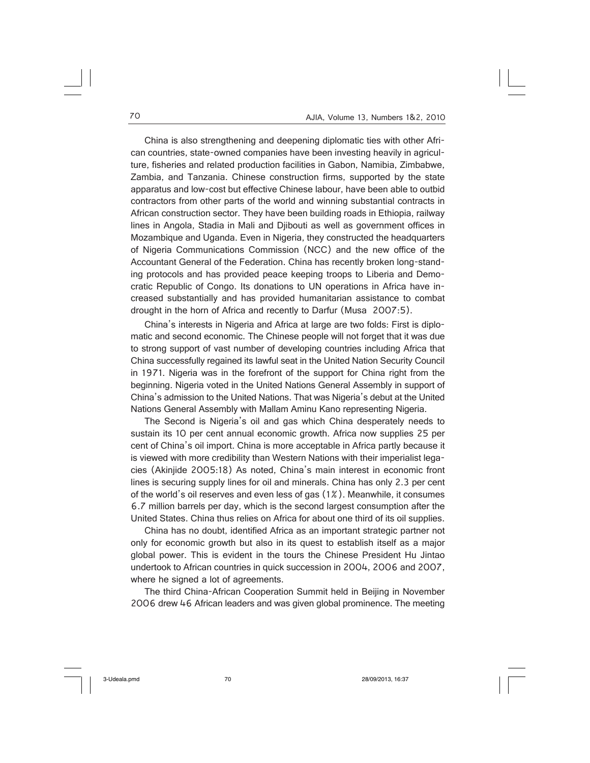China is also strengthening and deepening diplomatic ties with other African countries, state-owned companies have been investing heavily in agriculture, fisheries and related production facilities in Gabon, Namibia, Zimbabwe, Zambia, and Tanzania. Chinese construction firms, supported by the state apparatus and low-cost but effective Chinese labour, have been able to outbid contractors from other parts of the world and winning substantial contracts in African construction sector. They have been building roads in Ethiopia, railway lines in Angola, Stadia in Mali and Djibouti as well as government offices in Mozambique and Uganda. Even in Nigeria, they constructed the headquarters of Nigeria Communications Commission (NCC) and the new office of the Accountant General of the Federation. China has recently broken long-standing protocols and has provided peace keeping troops to Liberia and Democratic Republic of Congo. Its donations to UN operations in Africa have increased substantially and has provided humanitarian assistance to combat drought in the horn of Africa and recently to Darfur (Musa 2007:5).

China's interests in Nigeria and Africa at large are two folds: First is diplomatic and second economic. The Chinese people will not forget that it was due to strong support of vast number of developing countries including Africa that China successfully regained its lawful seat in the United Nation Security Council in 1971. Nigeria was in the forefront of the support for China right from the beginning. Nigeria voted in the United Nations General Assembly in support of China's admission to the United Nations. That was Nigeria's debut at the United Nations General Assembly with Mallam Aminu Kano representing Nigeria.

The Second is Nigeria's oil and gas which China desperately needs to sustain its 10 per cent annual economic growth. Africa now supplies 25 per cent of China's oil import. China is more acceptable in Africa partly because it is viewed with more credibility than Western Nations with their imperialist legacies (Akinjide 2005:18) As noted, China's main interest in economic front lines is securing supply lines for oil and minerals. China has only 2.3 per cent of the world's oil reserves and even less of gas (1%). Meanwhile, it consumes 6.7 million barrels per day, which is the second largest consumption after the United States. China thus relies on Africa for about one third of its oil supplies.

China has no doubt, identified Africa as an important strategic partner not only for economic growth but also in its quest to establish itself as a major global power. This is evident in the tours the Chinese President Hu Jintao undertook to African countries in quick succession in 2004, 2006 and 2007, where he signed a lot of agreements.

The third China-African Cooperation Summit held in Beijing in November 2006 drew 46 African leaders and was given global prominence. The meeting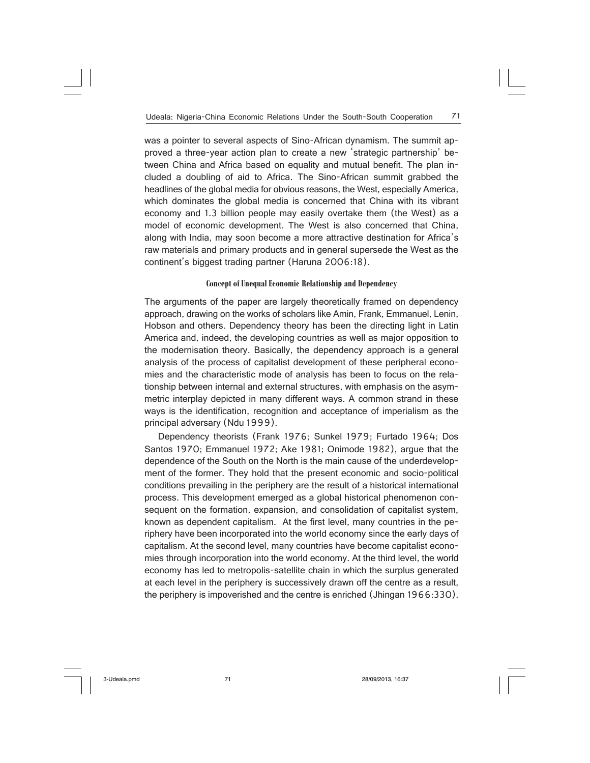was a pointer to several aspects of Sino-African dynamism. The summit approved a three-year action plan to create a new 'strategic partnership' between China and Africa based on equality and mutual benefit. The plan included a doubling of aid to Africa. The Sino-African summit grabbed the headlines of the global media for obvious reasons, the West, especially America, which dominates the global media is concerned that China with its vibrant economy and 1.3 billion people may easily overtake them (the West) as a model of economic development. The West is also concerned that China, along with India, may soon become a more attractive destination for Africa's raw materials and primary products and in general supersede the West as the continent's biggest trading partner (Haruna 2006:18).

#### **Concept of Unequal Economic Relationship and Dependency**

The arguments of the paper are largely theoretically framed on dependency approach, drawing on the works of scholars like Amin, Frank, Emmanuel, Lenin, Hobson and others. Dependency theory has been the directing light in Latin America and, indeed, the developing countries as well as major opposition to the modernisation theory. Basically, the dependency approach is a general analysis of the process of capitalist development of these peripheral economies and the characteristic mode of analysis has been to focus on the relationship between internal and external structures, with emphasis on the asymmetric interplay depicted in many different ways. A common strand in these ways is the identification, recognition and acceptance of imperialism as the principal adversary (Ndu 1999).

Dependency theorists (Frank 1976; Sunkel 1979; Furtado 1964; Dos Santos 1970; Emmanuel 1972; Ake 1981; Onimode 1982), argue that the dependence of the South on the North is the main cause of the underdevelopment of the former. They hold that the present economic and socio-political conditions prevailing in the periphery are the result of a historical international process. This development emerged as a global historical phenomenon consequent on the formation, expansion, and consolidation of capitalist system, known as dependent capitalism. At the first level, many countries in the periphery have been incorporated into the world economy since the early days of capitalism. At the second level, many countries have become capitalist economies through incorporation into the world economy. At the third level, the world economy has led to metropolis-satellite chain in which the surplus generated at each level in the periphery is successively drawn off the centre as a result, the periphery is impoverished and the centre is enriched (Jhingan 1966:330).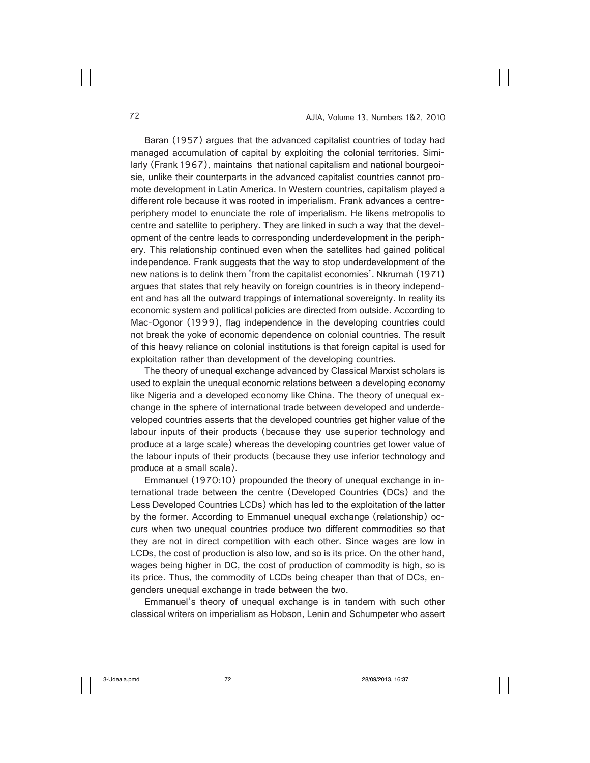Baran (1957) argues that the advanced capitalist countries of today had managed accumulation of capital by exploiting the colonial territories. Similarly (Frank 1967), maintains that national capitalism and national bourgeoisie, unlike their counterparts in the advanced capitalist countries cannot promote development in Latin America. In Western countries, capitalism played a different role because it was rooted in imperialism. Frank advances a centreperiphery model to enunciate the role of imperialism. He likens metropolis to centre and satellite to periphery. They are linked in such a way that the development of the centre leads to corresponding underdevelopment in the periphery. This relationship continued even when the satellites had gained political independence. Frank suggests that the way to stop underdevelopment of the new nations is to delink them 'from the capitalist economies'. Nkrumah (1971) argues that states that rely heavily on foreign countries is in theory independent and has all the outward trappings of international sovereignty. In reality its economic system and political policies are directed from outside. According to Mac-Ogonor (1999), flag independence in the developing countries could not break the yoke of economic dependence on colonial countries. The result of this heavy reliance on colonial institutions is that foreign capital is used for exploitation rather than development of the developing countries.

The theory of unequal exchange advanced by Classical Marxist scholars is used to explain the unequal economic relations between a developing economy like Nigeria and a developed economy like China. The theory of unequal exchange in the sphere of international trade between developed and underdeveloped countries asserts that the developed countries get higher value of the labour inputs of their products (because they use superior technology and produce at a large scale) whereas the developing countries get lower value of the labour inputs of their products (because they use inferior technology and produce at a small scale).

Emmanuel (1970:10) propounded the theory of unequal exchange in international trade between the centre (Developed Countries (DCs) and the Less Developed Countries LCDs) which has led to the exploitation of the latter by the former. According to Emmanuel unequal exchange (relationship) occurs when two unequal countries produce two different commodities so that they are not in direct competition with each other. Since wages are low in LCDs, the cost of production is also low, and so is its price. On the other hand, wages being higher in DC, the cost of production of commodity is high, so is its price. Thus, the commodity of LCDs being cheaper than that of DCs, engenders unequal exchange in trade between the two.

Emmanuel's theory of unequal exchange is in tandem with such other classical writers on imperialism as Hobson, Lenin and Schumpeter who assert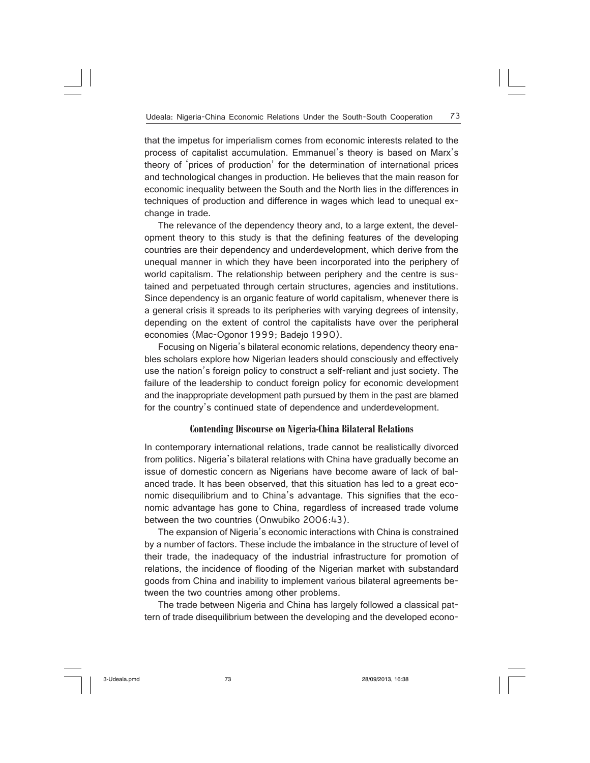that the impetus for imperialism comes from economic interests related to the process of capitalist accumulation. Emmanuel's theory is based on Marx's theory of 'prices of production' for the determination of international prices and technological changes in production. He believes that the main reason for economic inequality between the South and the North lies in the differences in techniques of production and difference in wages which lead to unequal exchange in trade.

The relevance of the dependency theory and, to a large extent, the development theory to this study is that the defining features of the developing countries are their dependency and underdevelopment, which derive from the unequal manner in which they have been incorporated into the periphery of world capitalism. The relationship between periphery and the centre is sustained and perpetuated through certain structures, agencies and institutions. Since dependency is an organic feature of world capitalism, whenever there is a general crisis it spreads to its peripheries with varying degrees of intensity, depending on the extent of control the capitalists have over the peripheral economies (Mac-Ogonor 1999; Badejo 1990).

Focusing on Nigeria's bilateral economic relations, dependency theory enables scholars explore how Nigerian leaders should consciously and effectively use the nation's foreign policy to construct a self-reliant and just society. The failure of the leadership to conduct foreign policy for economic development and the inappropriate development path pursued by them in the past are blamed for the country's continued state of dependence and underdevelopment.

## **Contending Discourse on Nigeria-China Bilateral Relations**

In contemporary international relations, trade cannot be realistically divorced from politics. Nigeria's bilateral relations with China have gradually become an issue of domestic concern as Nigerians have become aware of lack of balanced trade. It has been observed, that this situation has led to a great economic disequilibrium and to China's advantage. This signifies that the economic advantage has gone to China, regardless of increased trade volume between the two countries (Onwubiko 2006:43).

The expansion of Nigeria's economic interactions with China is constrained by a number of factors. These include the imbalance in the structure of level of their trade, the inadequacy of the industrial infrastructure for promotion of relations, the incidence of flooding of the Nigerian market with substandard goods from China and inability to implement various bilateral agreements between the two countries among other problems.

The trade between Nigeria and China has largely followed a classical pattern of trade disequilibrium between the developing and the developed econo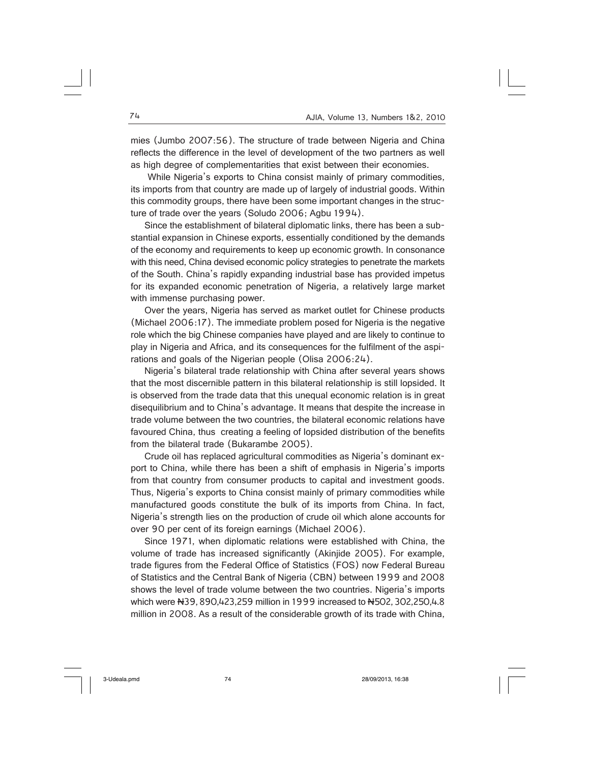mies (Jumbo 2007:56). The structure of trade between Nigeria and China reflects the difference in the level of development of the two partners as well as high degree of complementarities that exist between their economies.

 While Nigeria's exports to China consist mainly of primary commodities, its imports from that country are made up of largely of industrial goods. Within this commodity groups, there have been some important changes in the structure of trade over the years (Soludo 2006: Agbu 1994).

Since the establishment of bilateral diplomatic links, there has been a substantial expansion in Chinese exports, essentially conditioned by the demands of the economy and requirements to keep up economic growth. In consonance with this need, China devised economic policy strategies to penetrate the markets of the South. China's rapidly expanding industrial base has provided impetus for its expanded economic penetration of Nigeria, a relatively large market with immense purchasing power.

Over the years, Nigeria has served as market outlet for Chinese products (Michael 2006:17). The immediate problem posed for Nigeria is the negative role which the big Chinese companies have played and are likely to continue to play in Nigeria and Africa, and its consequences for the fulfilment of the aspirations and goals of the Nigerian people (Olisa 2006:24).

Nigeria's bilateral trade relationship with China after several years shows that the most discernible pattern in this bilateral relationship is still lopsided. It is observed from the trade data that this unequal economic relation is in great disequilibrium and to China's advantage. It means that despite the increase in trade volume between the two countries, the bilateral economic relations have favoured China, thus creating a feeling of lopsided distribution of the benefits from the bilateral trade (Bukarambe 2005).

Crude oil has replaced agricultural commodities as Nigeria's dominant export to China, while there has been a shift of emphasis in Nigeria's imports from that country from consumer products to capital and investment goods. Thus, Nigeria's exports to China consist mainly of primary commodities while manufactured goods constitute the bulk of its imports from China. In fact, Nigeria's strength lies on the production of crude oil which alone accounts for over 90 per cent of its foreign earnings (Michael 2006).

Since 1971, when diplomatic relations were established with China, the volume of trade has increased significantly (Akinjide 2005). For example, trade figures from the Federal Office of Statistics (FOS) now Federal Bureau of Statistics and the Central Bank of Nigeria (CBN) between 1999 and 2008 shows the level of trade volume between the two countries. Nigeria's imports which were N39, 890,423,259 million in 1999 increased to N502, 302,250,4.8 million in 2008. As a result of the considerable growth of its trade with China,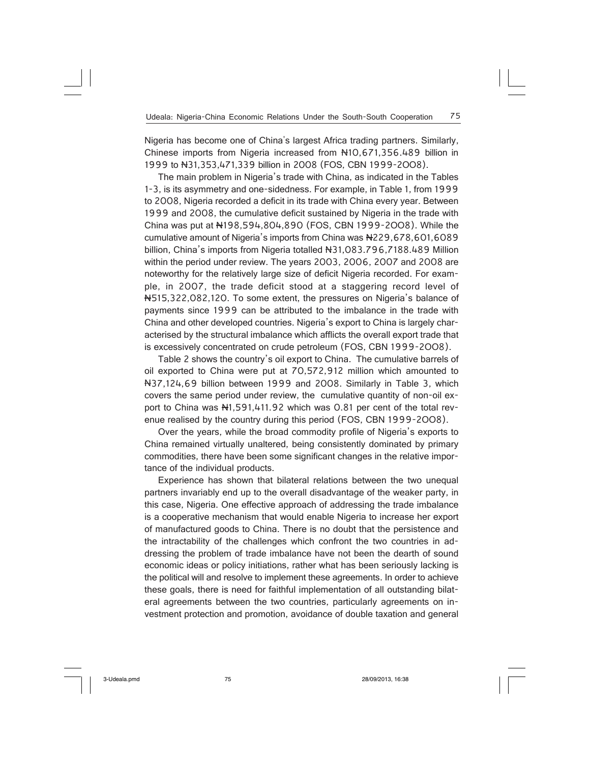Nigeria has become one of China's largest Africa trading partners. Similarly, Chinese imports from Nigeria increased from N10,671,356.489 billion in 1999 to N31,353,471,339 billion in 2008 (FOS, CBN 1999-2OO8).

The main problem in Nigeria's trade with China, as indicated in the Tables 1-3, is its asymmetry and one-sidedness. For example, in Table 1, from 1999 to 2008, Nigeria recorded a deficit in its trade with China every year. Between 1999 and 2008, the cumulative deficit sustained by Nigeria in the trade with China was put at N198,594,804,890 (FOS, CBN 1999-2OO8). While the cumulative amount of Nigeria's imports from China was N229,678,601,6089 billion, China's imports from Nigeria totalled N31,083.796,7188.489 Million within the period under review. The years 2003, 2006, 2007 and 2008 are noteworthy for the relatively large size of deficit Nigeria recorded. For example, in 2007, the trade deficit stood at a staggering record level of N515,322,082,120. To some extent, the pressures on Nigeria's balance of payments since 1999 can be attributed to the imbalance in the trade with China and other developed countries. Nigeria's export to China is largely characterised by the structural imbalance which afflicts the overall export trade that is excessively concentrated on crude petroleum (FOS, CBN 1999-2OO8).

Table 2 shows the country's oil export to China. The cumulative barrels of oil exported to China were put at 70,572,912 million which amounted to N37,124,69 billion between 1999 and 2008. Similarly in Table 3, which covers the same period under review, the cumulative quantity of non-oil export to China was N1,591,411.92 which was 0.81 per cent of the total revenue realised by the country during this period (FOS, CBN 1999-2OO8).

Over the years, while the broad commodity profile of Nigeria's exports to China remained virtually unaltered, being consistently dominated by primary commodities, there have been some significant changes in the relative importance of the individual products.

Experience has shown that bilateral relations between the two unequal partners invariably end up to the overall disadvantage of the weaker party, in this case, Nigeria. One effective approach of addressing the trade imbalance is a cooperative mechanism that would enable Nigeria to increase her export of manufactured goods to China. There is no doubt that the persistence and the intractability of the challenges which confront the two countries in addressing the problem of trade imbalance have not been the dearth of sound economic ideas or policy initiations, rather what has been seriously lacking is the political will and resolve to implement these agreements. In order to achieve these goals, there is need for faithful implementation of all outstanding bilateral agreements between the two countries, particularly agreements on investment protection and promotion, avoidance of double taxation and general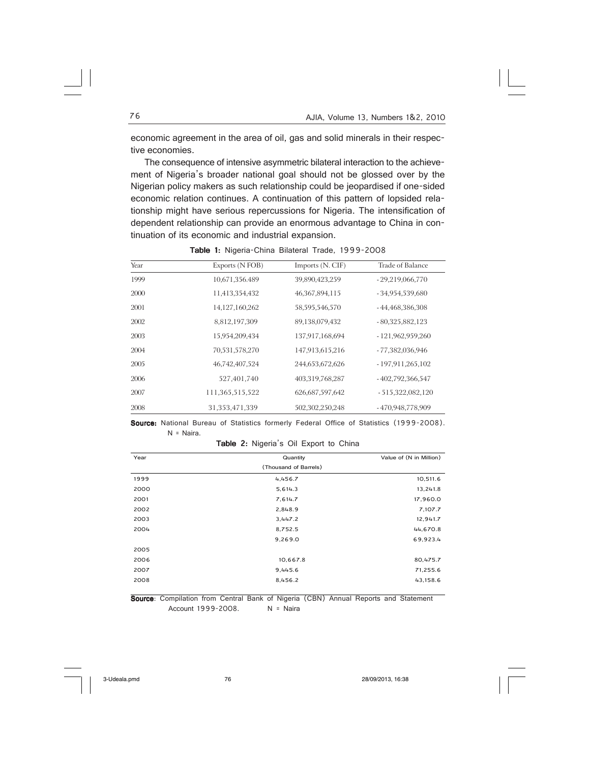economic agreement in the area of oil, gas and solid minerals in their respective economies.

The consequence of intensive asymmetric bilateral interaction to the achievement of Nigeria's broader national goal should not be glossed over by the Nigerian policy makers as such relationship could be jeopardised if one-sided economic relation continues. A continuation of this pattern of lopsided relationship might have serious repercussions for Nigeria. The intensification of dependent relationship can provide an enormous advantage to China in continuation of its economic and industrial expansion.

| Year | Exports (N FOB) | Imports (N. CIF)   | Trade of Balance   |
|------|-----------------|--------------------|--------------------|
| 1999 | 10,671,356.489  | 39,890,423,259     | $-29,219,066,770$  |
| 2000 | 11,413,354,432  | 46, 367, 894, 115  | $-34,954,539,680$  |
| 2001 | 14,127,160,262  | 58,595,546,570     | $-44,468,386,308$  |
| 2002 | 8,812,197,309   | 89,138,079,432     | $-80,325,882,123$  |
| 2003 | 15,954,209,434  | 137,917,168,694    | $-121,962,959,260$ |
| 2004 | 70,531,578,270  | 147,913,615,216    | - 77,382,036,946   |
| 2005 | 46,742,407,524  | 244,653,672,626    | $-197,911,265,102$ |
| 2006 | 527,401,740     | 403,319,768,287    | $-402,792,366,547$ |
| 2007 | 111,365,515,522 | 626, 687, 597, 642 | $-515,322,082,120$ |
| 2008 | 31,353,471,339  | 502,302,250,248    | -470,948,778,909   |

Table 1: Nigeria-China Bilateral Trade, 1999-2008

Source: National Bureau of Statistics formerly Federal Office of Statistics (1999-2008). N = Naira.

Table 2: Nigeria's Oil Export to China

| Year | Quantity              | Value of (N in Million) |
|------|-----------------------|-------------------------|
|      | (Thousand of Barrels) |                         |
| 1999 | 4,456.7               | 10,511.6                |
| 2000 | 5,614.3               | 13,241.8                |
| 2001 | 7,614.7               | 17,960.0                |
| 2002 | 2,848.9               | 7,107.7                 |
| 2003 | 3,447.2               | 12,941.7                |
| 2004 | 8,752.5               | 44,670.8                |
|      | 9,269.0               | 69,923.4                |
| 2005 |                       |                         |
| 2006 | 10,667.8              | 80,475.7                |
| 2007 | 9,445.6               | 71,255.6                |
| 2008 | 8,456.2               | 43,158.6                |

Source: Compilation from Central Bank of Nigeria (CBN) Annual Reports and Statement<br>Account 1999-2008. N = Naira Account 1999-2008.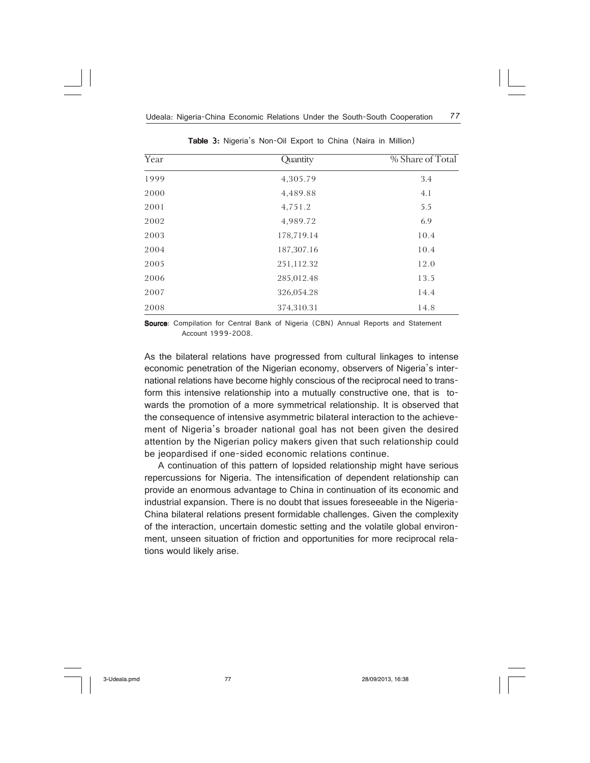| Year | Quantity   | % Share of Total |
|------|------------|------------------|
| 1999 | 4,305.79   | 3.4              |
| 2000 | 4,489.88   | 4.1              |
| 2001 | 4,751.2    | 5.5              |
| 2002 | 4,989.72   | 6.9              |
| 2003 | 178,719.14 | 10.4             |
| 2004 | 187,307.16 | 10.4             |
| 2005 | 251,112.32 | 12.0             |
| 2006 | 285,012.48 | 13.5             |
| 2007 | 326,054.28 | 14.4             |
| 2008 | 374,310.31 | 14.8             |

Table 3: Nigeria's Non-Oil Export to China (Naira in Million)

Source: Compilation for Central Bank of Nigeria (CBN) Annual Reports and Statement Account 1999-2008.

As the bilateral relations have progressed from cultural linkages to intense economic penetration of the Nigerian economy, observers of Nigeria's international relations have become highly conscious of the reciprocal need to transform this intensive relationship into a mutually constructive one, that is towards the promotion of a more symmetrical relationship. It is observed that the consequence of intensive asymmetric bilateral interaction to the achievement of Nigeria's broader national goal has not been given the desired attention by the Nigerian policy makers given that such relationship could be jeopardised if one-sided economic relations continue.

A continuation of this pattern of lopsided relationship might have serious repercussions for Nigeria. The intensification of dependent relationship can provide an enormous advantage to China in continuation of its economic and industrial expansion. There is no doubt that issues foreseeable in the Nigeria-China bilateral relations present formidable challenges. Given the complexity of the interaction, uncertain domestic setting and the volatile global environment, unseen situation of friction and opportunities for more reciprocal relations would likely arise.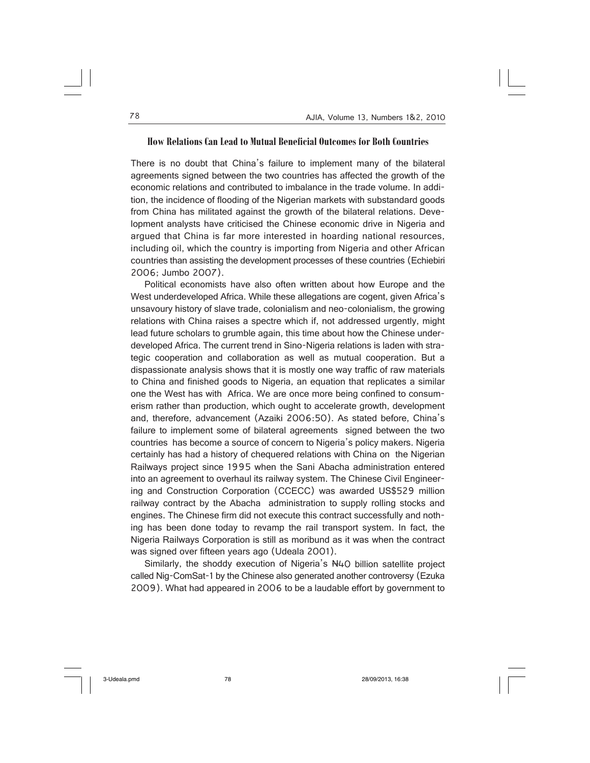#### **How Relations Can Lead to Mutual Beneficial Outcomes for Both Countries**

There is no doubt that China's failure to implement many of the bilateral agreements signed between the two countries has affected the growth of the economic relations and contributed to imbalance in the trade volume. In addition, the incidence of flooding of the Nigerian markets with substandard goods from China has militated against the growth of the bilateral relations. Development analysts have criticised the Chinese economic drive in Nigeria and argued that China is far more interested in hoarding national resources, including oil, which the country is importing from Nigeria and other African countries than assisting the development processes of these countries (Echiebiri 2006; Jumbo 2007).

Political economists have also often written about how Europe and the West underdeveloped Africa. While these allegations are cogent, given Africa's unsavoury history of slave trade, colonialism and neo-colonialism, the growing relations with China raises a spectre which if, not addressed urgently, might lead future scholars to grumble again, this time about how the Chinese underdeveloped Africa. The current trend in Sino-Nigeria relations is laden with strategic cooperation and collaboration as well as mutual cooperation. But a dispassionate analysis shows that it is mostly one way traffic of raw materials to China and finished goods to Nigeria, an equation that replicates a similar one the West has with Africa. We are once more being confined to consumerism rather than production, which ought to accelerate growth, development and, therefore, advancement (Azaiki 2006:50). As stated before, China's failure to implement some of bilateral agreements signed between the two countries has become a source of concern to Nigeria's policy makers. Nigeria certainly has had a history of chequered relations with China on the Nigerian Railways project since 1995 when the Sani Abacha administration entered into an agreement to overhaul its railway system. The Chinese Civil Engineering and Construction Corporation (CCECC) was awarded US\$529 million railway contract by the Abacha administration to supply rolling stocks and engines. The Chinese firm did not execute this contract successfully and nothing has been done today to revamp the rail transport system. In fact, the Nigeria Railways Corporation is still as moribund as it was when the contract was signed over fifteen years ago (Udeala 2001).

Similarly, the shoddy execution of Nigeria's N40 billion satellite project called Nig-ComSat-1 by the Chinese also generated another controversy (Ezuka 2009). What had appeared in 2006 to be a laudable effort by government to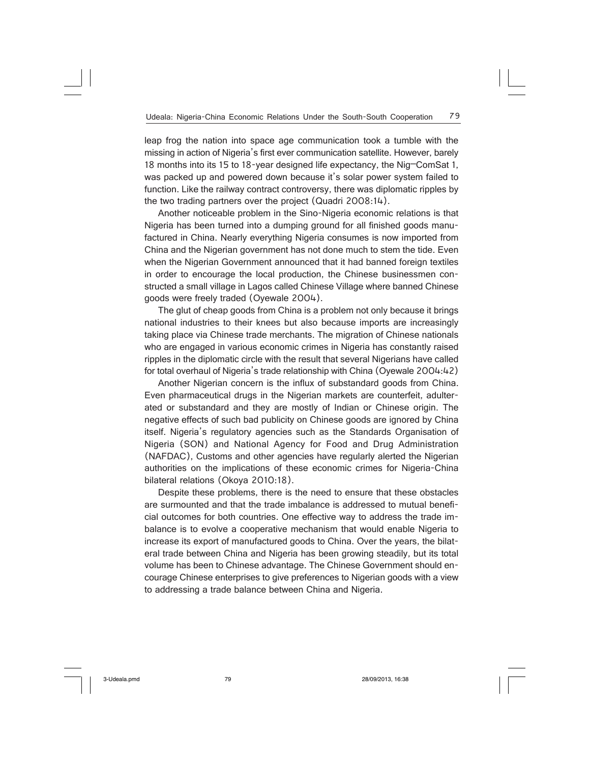leap frog the nation into space age communication took a tumble with the missing in action of Nigeria's first ever communication satellite. However, barely 18 months into its 15 to 18-year designed life expectancy, the Nig–ComSat 1, was packed up and powered down because it's solar power system failed to function. Like the railway contract controversy, there was diplomatic ripples by the two trading partners over the project (Quadri 2008:14).

Another noticeable problem in the Sino-Nigeria economic relations is that Nigeria has been turned into a dumping ground for all finished goods manufactured in China. Nearly everything Nigeria consumes is now imported from China and the Nigerian government has not done much to stem the tide. Even when the Nigerian Government announced that it had banned foreign textiles in order to encourage the local production, the Chinese businessmen constructed a small village in Lagos called Chinese Village where banned Chinese goods were freely traded (Oyewale 2004).

The glut of cheap goods from China is a problem not only because it brings national industries to their knees but also because imports are increasingly taking place via Chinese trade merchants. The migration of Chinese nationals who are engaged in various economic crimes in Nigeria has constantly raised ripples in the diplomatic circle with the result that several Nigerians have called for total overhaul of Nigeria's trade relationship with China (Oyewale 2004:42)

Another Nigerian concern is the influx of substandard goods from China. Even pharmaceutical drugs in the Nigerian markets are counterfeit, adulterated or substandard and they are mostly of Indian or Chinese origin. The negative effects of such bad publicity on Chinese goods are ignored by China itself. Nigeria's regulatory agencies such as the Standards Organisation of Nigeria (SON) and National Agency for Food and Drug Administration (NAFDAC), Customs and other agencies have regularly alerted the Nigerian authorities on the implications of these economic crimes for Nigeria-China bilateral relations (Okoya 2010:18).

Despite these problems, there is the need to ensure that these obstacles are surmounted and that the trade imbalance is addressed to mutual beneficial outcomes for both countries. One effective way to address the trade imbalance is to evolve a cooperative mechanism that would enable Nigeria to increase its export of manufactured goods to China. Over the years, the bilateral trade between China and Nigeria has been growing steadily, but its total volume has been to Chinese advantage. The Chinese Government should encourage Chinese enterprises to give preferences to Nigerian goods with a view to addressing a trade balance between China and Nigeria.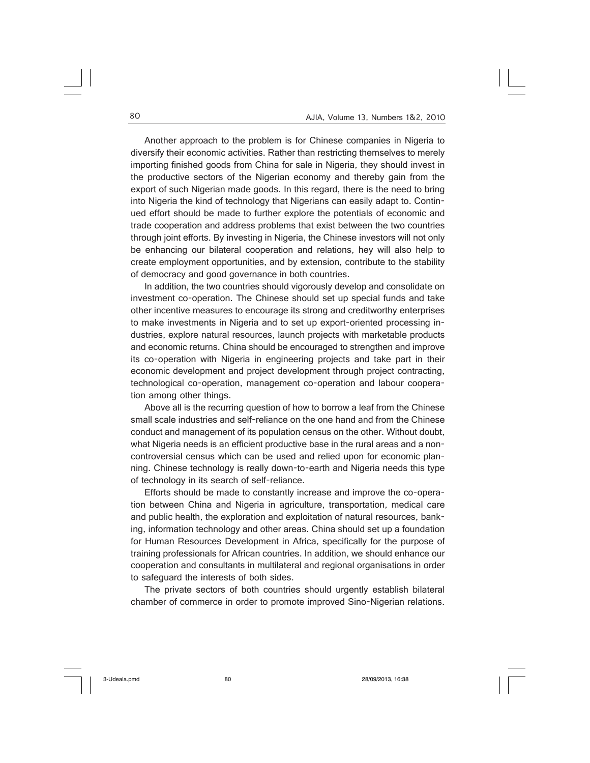Another approach to the problem is for Chinese companies in Nigeria to diversify their economic activities. Rather than restricting themselves to merely importing finished goods from China for sale in Nigeria, they should invest in the productive sectors of the Nigerian economy and thereby gain from the export of such Nigerian made goods. In this regard, there is the need to bring into Nigeria the kind of technology that Nigerians can easily adapt to. Continued effort should be made to further explore the potentials of economic and trade cooperation and address problems that exist between the two countries through joint efforts. By investing in Nigeria, the Chinese investors will not only be enhancing our bilateral cooperation and relations, hey will also help to create employment opportunities, and by extension, contribute to the stability of democracy and good governance in both countries.

In addition, the two countries should vigorously develop and consolidate on investment co-operation. The Chinese should set up special funds and take other incentive measures to encourage its strong and creditworthy enterprises to make investments in Nigeria and to set up export-oriented processing industries, explore natural resources, launch projects with marketable products and economic returns. China should be encouraged to strengthen and improve its co-operation with Nigeria in engineering projects and take part in their economic development and project development through project contracting, technological co-operation, management co-operation and labour cooperation among other things.

Above all is the recurring question of how to borrow a leaf from the Chinese small scale industries and self-reliance on the one hand and from the Chinese conduct and management of its population census on the other. Without doubt, what Nigeria needs is an efficient productive base in the rural areas and a noncontroversial census which can be used and relied upon for economic planning. Chinese technology is really down-to-earth and Nigeria needs this type of technology in its search of self-reliance.

Efforts should be made to constantly increase and improve the co-operation between China and Nigeria in agriculture, transportation, medical care and public health, the exploration and exploitation of natural resources, banking, information technology and other areas. China should set up a foundation for Human Resources Development in Africa, specifically for the purpose of training professionals for African countries. In addition, we should enhance our cooperation and consultants in multilateral and regional organisations in order to safeguard the interests of both sides.

The private sectors of both countries should urgently establish bilateral chamber of commerce in order to promote improved Sino-Nigerian relations.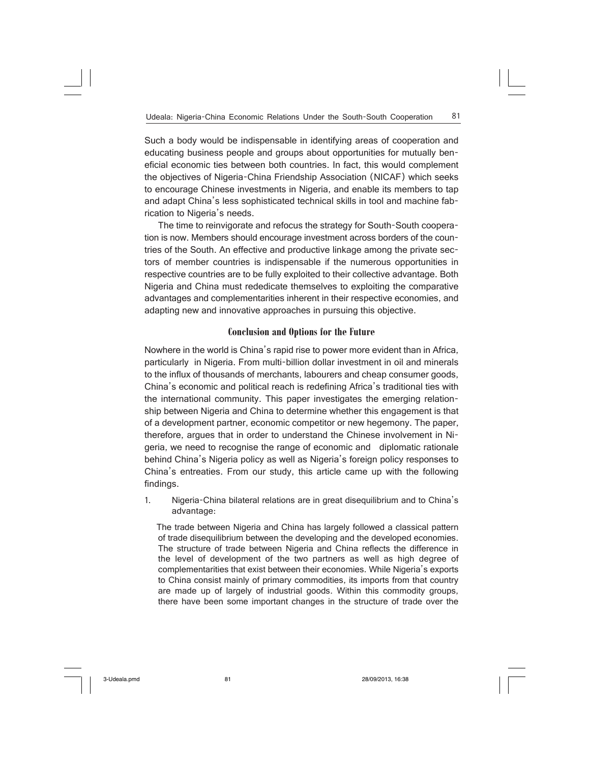Such a body would be indispensable in identifying areas of cooperation and educating business people and groups about opportunities for mutually beneficial economic ties between both countries. In fact, this would complement the objectives of Nigeria-China Friendship Association (NICAF) which seeks to encourage Chinese investments in Nigeria, and enable its members to tap and adapt China's less sophisticated technical skills in tool and machine fabrication to Nigeria's needs.

The time to reinvigorate and refocus the strategy for South-South cooperation is now. Members should encourage investment across borders of the countries of the South. An effective and productive linkage among the private sectors of member countries is indispensable if the numerous opportunities in respective countries are to be fully exploited to their collective advantage. Both Nigeria and China must rededicate themselves to exploiting the comparative advantages and complementarities inherent in their respective economies, and adapting new and innovative approaches in pursuing this objective.

# **Conclusion and Options for the Future**

Nowhere in the world is China's rapid rise to power more evident than in Africa, particularly in Nigeria. From multi-billion dollar investment in oil and minerals to the influx of thousands of merchants, labourers and cheap consumer goods, China's economic and political reach is redefining Africa's traditional ties with the international community. This paper investigates the emerging relationship between Nigeria and China to determine whether this engagement is that of a development partner, economic competitor or new hegemony. The paper, therefore, argues that in order to understand the Chinese involvement in Nigeria, we need to recognise the range of economic and diplomatic rationale behind China's Nigeria policy as well as Nigeria's foreign policy responses to China's entreaties. From our study, this article came up with the following findings.

1. Nigeria-China bilateral relations are in great disequilibrium and to China's advantage:

 The trade between Nigeria and China has largely followed a classical pattern of trade disequilibrium between the developing and the developed economies. The structure of trade between Nigeria and China reflects the difference in the level of development of the two partners as well as high degree of complementarities that exist between their economies. While Nigeria's exports to China consist mainly of primary commodities, its imports from that country are made up of largely of industrial goods. Within this commodity groups, there have been some important changes in the structure of trade over the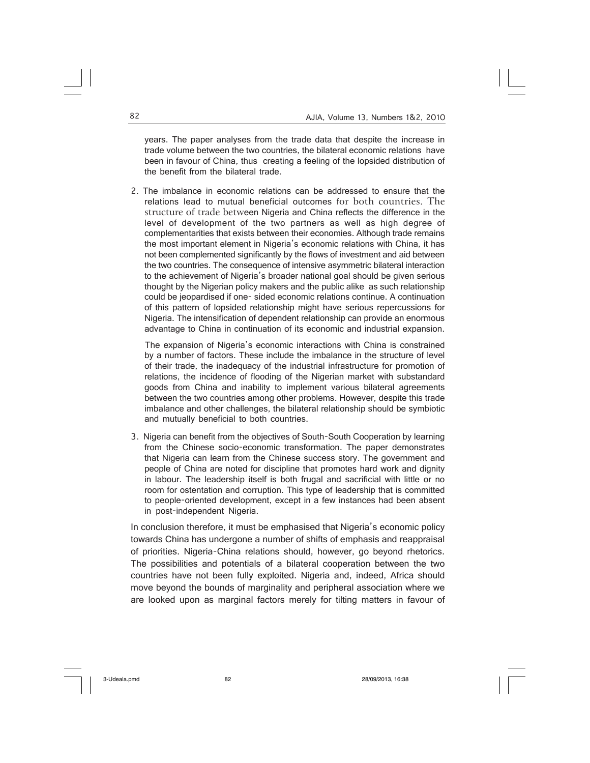years. The paper analyses from the trade data that despite the increase in trade volume between the two countries, the bilateral economic relations have been in favour of China, thus creating a feeling of the lopsided distribution of the benefit from the bilateral trade.

2. The imbalance in economic relations can be addressed to ensure that the relations lead to mutual beneficial outcomes for both countries. The structure of trade between Nigeria and China reflects the difference in the level of development of the two partners as well as high degree of complementarities that exists between their economies. Although trade remains the most important element in Nigeria's economic relations with China, it has not been complemented significantly by the flows of investment and aid between the two countries. The consequence of intensive asymmetric bilateral interaction to the achievement of Nigeria's broader national goal should be given serious thought by the Nigerian policy makers and the public alike as such relationship could be jeopardised if one- sided economic relations continue. A continuation of this pattern of lopsided relationship might have serious repercussions for Nigeria. The intensification of dependent relationship can provide an enormous advantage to China in continuation of its economic and industrial expansion.

 The expansion of Nigeria's economic interactions with China is constrained by a number of factors. These include the imbalance in the structure of level of their trade, the inadequacy of the industrial infrastructure for promotion of relations, the incidence of flooding of the Nigerian market with substandard goods from China and inability to implement various bilateral agreements between the two countries among other problems. However, despite this trade imbalance and other challenges, the bilateral relationship should be symbiotic and mutually beneficial to both countries.

3. Nigeria can benefit from the objectives of South-South Cooperation by learning from the Chinese socio-economic transformation. The paper demonstrates that Nigeria can learn from the Chinese success story. The government and people of China are noted for discipline that promotes hard work and dignity in labour. The leadership itself is both frugal and sacrificial with little or no room for ostentation and corruption. This type of leadership that is committed to people-oriented development, except in a few instances had been absent in post-independent Nigeria.

In conclusion therefore, it must be emphasised that Nigeria's economic policy towards China has undergone a number of shifts of emphasis and reappraisal of priorities. Nigeria-China relations should, however, go beyond rhetorics. The possibilities and potentials of a bilateral cooperation between the two countries have not been fully exploited. Nigeria and, indeed, Africa should move beyond the bounds of marginality and peripheral association where we are looked upon as marginal factors merely for tilting matters in favour of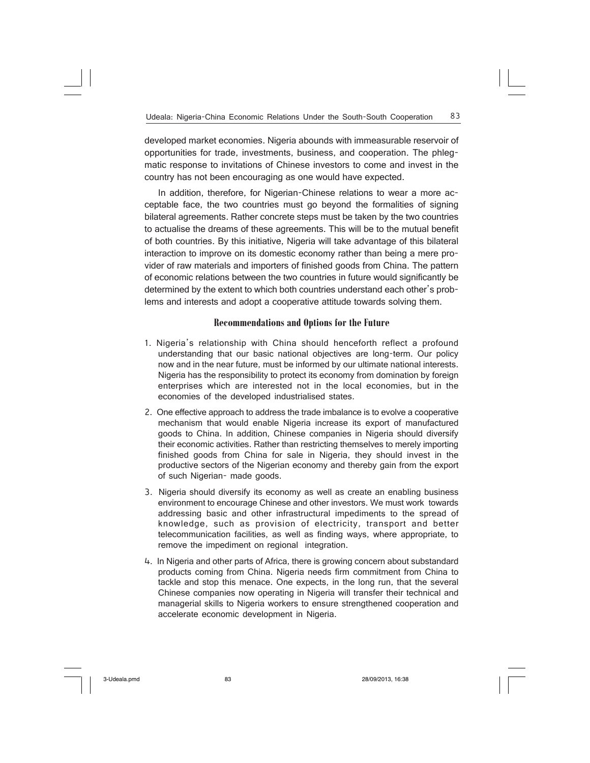developed market economies. Nigeria abounds with immeasurable reservoir of opportunities for trade, investments, business, and cooperation. The phlegmatic response to invitations of Chinese investors to come and invest in the country has not been encouraging as one would have expected.

In addition, therefore, for Nigerian-Chinese relations to wear a more acceptable face, the two countries must go beyond the formalities of signing bilateral agreements. Rather concrete steps must be taken by the two countries to actualise the dreams of these agreements. This will be to the mutual benefit of both countries. By this initiative, Nigeria will take advantage of this bilateral interaction to improve on its domestic economy rather than being a mere provider of raw materials and importers of finished goods from China. The pattern of economic relations between the two countries in future would significantly be determined by the extent to which both countries understand each other's problems and interests and adopt a cooperative attitude towards solving them.

## **Recommendations and Options for the Future**

- 1. Nigeria's relationship with China should henceforth reflect a profound understanding that our basic national objectives are long-term. Our policy now and in the near future, must be informed by our ultimate national interests. Nigeria has the responsibility to protect its economy from domination by foreign enterprises which are interested not in the local economies, but in the economies of the developed industrialised states.
- 2. One effective approach to address the trade imbalance is to evolve a cooperative mechanism that would enable Nigeria increase its export of manufactured goods to China. In addition, Chinese companies in Nigeria should diversify their economic activities. Rather than restricting themselves to merely importing finished goods from China for sale in Nigeria, they should invest in the productive sectors of the Nigerian economy and thereby gain from the export of such Nigerian- made goods.
- 3. Nigeria should diversify its economy as well as create an enabling business environment to encourage Chinese and other investors. We must work towards addressing basic and other infrastructural impediments to the spread of knowledge, such as provision of electricity, transport and better telecommunication facilities, as well as finding ways, where appropriate, to remove the impediment on regional integration.
- 4. In Nigeria and other parts of Africa, there is growing concern about substandard products coming from China. Nigeria needs firm commitment from China to tackle and stop this menace. One expects, in the long run, that the several Chinese companies now operating in Nigeria will transfer their technical and managerial skills to Nigeria workers to ensure strengthened cooperation and accelerate economic development in Nigeria.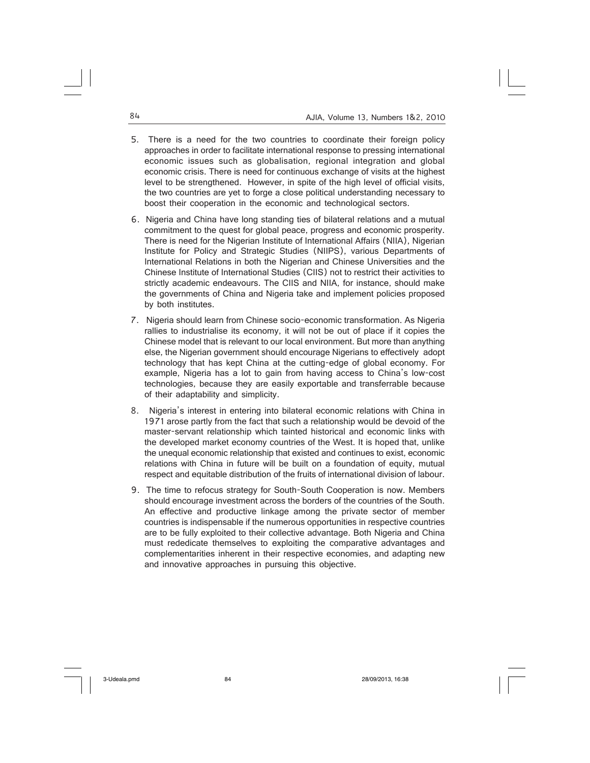- 5. There is a need for the two countries to coordinate their foreign policy approaches in order to facilitate international response to pressing international economic issues such as globalisation, regional integration and global economic crisis. There is need for continuous exchange of visits at the highest level to be strengthened. However, in spite of the high level of official visits, the two countries are yet to forge a close political understanding necessary to boost their cooperation in the economic and technological sectors.
- 6. Nigeria and China have long standing ties of bilateral relations and a mutual commitment to the quest for global peace, progress and economic prosperity. There is need for the Nigerian Institute of International Affairs (NIIA), Nigerian Institute for Policy and Strategic Studies (NIIPS), various Departments of International Relations in both the Nigerian and Chinese Universities and the Chinese Institute of International Studies (CIIS) not to restrict their activities to strictly academic endeavours. The CIIS and NIIA, for instance, should make the governments of China and Nigeria take and implement policies proposed by both institutes.
- 7. Nigeria should learn from Chinese socio-economic transformation. As Nigeria rallies to industrialise its economy, it will not be out of place if it copies the Chinese model that is relevant to our local environment. But more than anything else, the Nigerian government should encourage Nigerians to effectively adopt technology that has kept China at the cutting-edge of global economy. For example, Nigeria has a lot to gain from having access to China's low-cost technologies, because they are easily exportable and transferrable because of their adaptability and simplicity.
- 8. Nigeria's interest in entering into bilateral economic relations with China in 1971 arose partly from the fact that such a relationship would be devoid of the master-servant relationship which tainted historical and economic links with the developed market economy countries of the West. It is hoped that, unlike the unequal economic relationship that existed and continues to exist, economic relations with China in future will be built on a foundation of equity, mutual respect and equitable distribution of the fruits of international division of labour.
- 9. The time to refocus strategy for South-South Cooperation is now. Members should encourage investment across the borders of the countries of the South. An effective and productive linkage among the private sector of member countries is indispensable if the numerous opportunities in respective countries are to be fully exploited to their collective advantage. Both Nigeria and China must rededicate themselves to exploiting the comparative advantages and complementarities inherent in their respective economies, and adapting new and innovative approaches in pursuing this objective.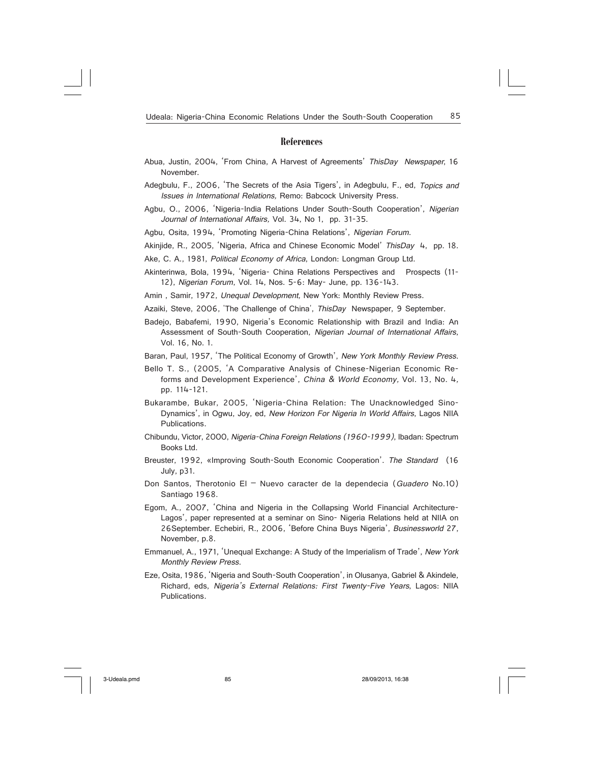#### **References**

- Abua, Justin, 2004, 'From China, A Harvest of Agreements' ThisDay Newspaper, 16 November.
- Adegbulu, F., 2006, 'The Secrets of the Asia Tigers', in Adegbulu, F., ed, Topics and Issues in International Relations, Remo: Babcock University Press.
- Agbu, O., 2006, 'Nigeria-India Relations Under South-South Cooperation', Nigerian Journal of International Affairs, Vol. 34, No 1, pp. 31-35.

Agbu, Osita, 1994, 'Promoting Nigeria-China Relations', Nigerian Forum.

Akinjide, R., 2005, 'Nigeria, Africa and Chinese Economic Model' ThisDay 4, pp. 18.

- Ake, C. A., 1981, Political Economy of Africa, London: Longman Group Ltd.
- Akinterinwa, Bola, 1994, 'Nigeria- China Relations Perspectives and Prospects (11- 12), Nigerian Forum, Vol. 14, Nos. 5-6: May- June, pp. 136-143.
- Amin, Samir, 1972, Unequal Development, New York: Monthly Review Press.
- Azaiki, Steve, 2006, 'The Challenge of China', ThisDay Newspaper, 9 September.
- Badejo, Babafemi, 1990, Nigeria's Economic Relationship with Brazil and India: An Assessment of South-South Cooperation, Nigerian Journal of International Affairs, Vol. 16, No. 1.
- Baran, Paul, 1957, 'The Political Economy of Growth', New York Monthly Review Press.
- Bello T. S., (2005, 'A Comparative Analysis of Chinese-Nigerian Economic Reforms and Development Experience', China & World Economy, Vol. 13, No. 4, pp. 114-121.
- Bukarambe, Bukar, 2005, 'Nigeria-China Relation: The Unacknowledged Sino-Dynamics', in Ogwu, Joy, ed, New Horizon For Nigeria In World Affairs, Lagos NIIA Publications.
- Chibundu, Victor, 2000, Nigeria-China Foreign Relations (1960-1999), Ibadan: Spectrum Books Ltd.
- Breuster, 1992, «Improving South-South Economic Cooperation'. The Standard (16 July, p31.
- Don Santos, Therotonio El Nuevo caracter de la dependecia (Guadero No.10) Santiago 1968.
- Egom, A., 2007, 'China and Nigeria in the Collapsing World Financial Architecture-Lagos', paper represented at a seminar on Sino- Nigeria Relations held at NIIA on 26September. Echebiri, R., 2006, 'Before China Buys Nigeria', Businessworld 27, November, p.8.
- Emmanuel, A., 1971, 'Unequal Exchange: A Study of the Imperialism of Trade', New York Monthly Review Press.
- Eze, Osita, 1986, 'Nigeria and South-South Cooperation', in Olusanya, Gabriel & Akindele, Richard, eds, Nigeria's External Relations: First Twenty-Five Years, Lagos: NIIA Publications.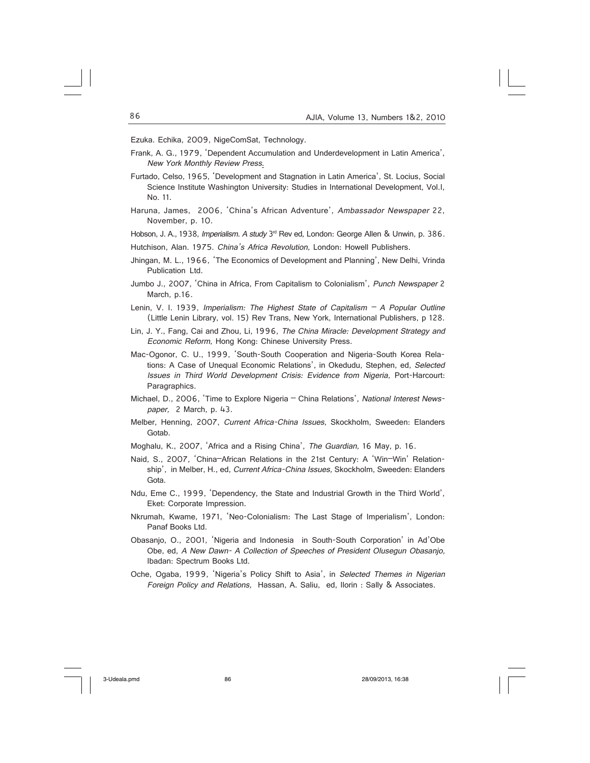Ezuka. Echika, 2009, NigeComSat, Technology.

- Frank, A. G., 1979, 'Dependent Accumulation and Underdevelopment in Latin America', New York Monthly Review Press.
- Furtado, Celso, 1965, 'Development and Stagnation in Latin America', St. Locius, Social Science Institute Washington University: Studies in International Development, Vol.I, No. 11.
- Haruna, James, 2006, 'China's African Adventure', Ambassador Newspaper 22, November, p. 10.

Hobson, J. A., 1938, Imperialism. A study 3<sup>rd</sup> Rev ed, London: George Allen & Unwin, p. 386.

Hutchison, Alan. 1975. China's Africa Revolution, London: Howell Publishers.

- Jhingan, M. L., 1966, 'The Economics of Development and Planning', New Delhi, Vrinda Publication Ltd.
- Jumbo J., 2007, 'China in Africa, From Capitalism to Colonialism', Punch Newspaper 2 March, p.16.
- Lenin, V. I. 1939, Imperialism: The Highest State of Capitalism  $A$  Popular Outline (Little Lenin Library, vol. 15) Rev Trans, New York, International Publishers, p 128.
- Lin, J. Y., Fang, Cai and Zhou, Li, 1996, The China Miracle: Development Strategy and Economic Reform, Hong Kong: Chinese University Press.
- Mac-Ogonor, C. U., 1999, 'South-South Cooperation and Nigeria-South Korea Relations: A Case of Unequal Economic Relations', in Okedudu, Stephen, ed, Selected Issues in Third World Development Crisis: Evidence from Nigeria, Port-Harcourt: Paragraphics.
- Michael, D., 2006, 'Time to Explore Nigeria China Relations', National Interest Newspaper, 2 March, p. 43.
- Melber, Henning, 2007, Current Africa-China Issues, Skockholm, Sweeden: Elanders Gotab.
- Moghalu, K., 2007, 'Africa and a Rising China', The Guardian, 16 May, p. 16.
- Naid, S., 2007, 'China–African Relations in the 21st Century: A 'Win–Win' Relationship', in Melber, H., ed, Current Africa-China Issues, Skockholm, Sweeden: Elanders Gota.
- Ndu, Eme C., 1999, 'Dependency, the State and Industrial Growth in the Third World', Eket: Corporate Impression.
- Nkrumah, Kwame, 1971, 'Neo-Colonialism: The Last Stage of Imperialism', London: Panaf Books Ltd.
- Obasanjo, O., 2001, 'Nigeria and Indonesia in South-South Corporation' in Ad'Obe Obe, ed, A New Dawn- A Collection of Speeches of President Olusegun Obasanjo, Ibadan: Spectrum Books Ltd.
- Oche, Ogaba, 1999, 'Nigeria's Policy Shift to Asia', in Selected Themes in Nigerian Foreign Policy and Relations, Hassan, A. Saliu, ed, Ilorin : Sally & Associates.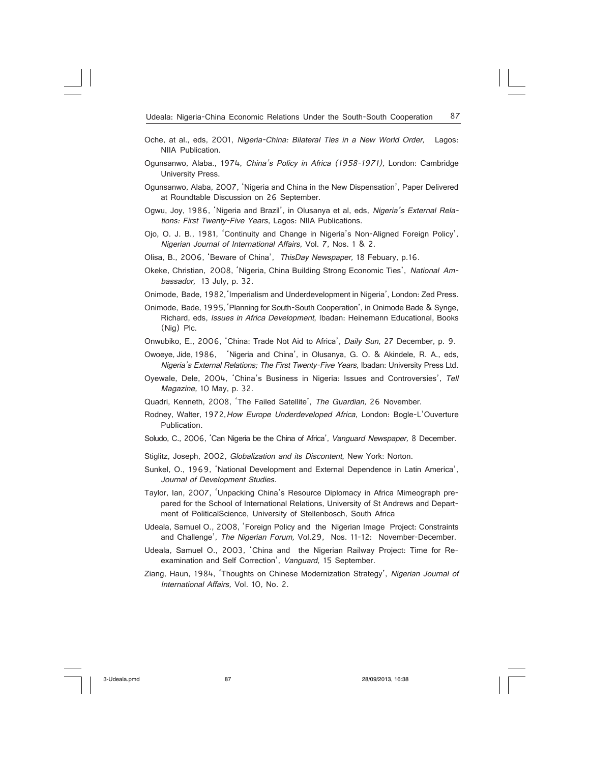- Oche, at al., eds, 2001, Nigeria-China: Bilateral Ties in a New World Order, Lagos: NIIA Publication.
- Ogunsanwo, Alaba., 1974, China's Policy in Africa (1958-1971), London: Cambridge University Press.
- Ogunsanwo, Alaba, 2007, 'Nigeria and China in the New Dispensation', Paper Delivered at Roundtable Discussion on 26 September.
- Ogwu, Joy, 1986, 'Nigeria and Brazil', in Olusanya et al, eds, Nigeria's External Relations: First Twenty-Five Years, Lagos: NIIA Publications.
- Ojo, O. J. B., 1981, 'Continuity and Change in Nigeria's Non-Aligned Foreign Policy', Nigerian Journal of International Affairs, Vol. 7, Nos. 1 & 2.
- Olisa, B., 2006, 'Beware of China', ThisDay Newspaper, 18 Febuary, p.16.
- Okeke, Christian, 2008, 'Nigeria, China Building Strong Economic Ties', National Ambassador, 13 July, p. 32.
- Onimode, Bade, 1982,'Imperialism and Underdevelopment in Nigeria', London: Zed Press.
- Onimode, Bade, 1995,'Planning for South-South Cooperation', in Onimode Bade & Synge, Richard, eds, Issues in Africa Development, Ibadan: Heinemann Educational, Books (Nig) Plc.
- Onwubiko, E., 2006, 'China: Trade Not Aid to Africa', Daily Sun, 27 December, p. 9.
- Owoeye, Jide, 1986, 'Nigeria and China', in Olusanya, G. O. & Akindele, R. A., eds, Nigeria's External Relations; The First Twenty-Five Years, Ibadan: University Press Ltd.
- Oyewale, Dele, 2004, 'China's Business in Nigeria: Issues and Controversies', Tell Magazine, 10 May, p. 32.
- Quadri, Kenneth, 2008, 'The Failed Satellite', The Guardian, 26 November.
- Rodney, Walter, 1972, How Europe Underdeveloped Africa, London: Bogle-L'Ouverture Publication.
- Soludo, C., 2006, 'Can Nigeria be the China of Africa', Vanguard Newspaper, 8 December.
- Stiglitz, Joseph, 2002, Globalization and its Discontent, New York: Norton.
- Sunkel, O., 1969, 'National Development and External Dependence in Latin America', Journal of Development Studies.
- Taylor, Ian, 2007, 'Unpacking China's Resource Diplomacy in Africa Mimeograph prepared for the School of International Relations, University of St Andrews and Department of PoliticalScience, University of Stellenbosch, South Africa
- Udeala, Samuel O., 2008, 'Foreign Policy and the Nigerian Image Project: Constraints and Challenge', The Nigerian Forum, Vol.29, Nos. 11-12: November-December.
- Udeala, Samuel O., 2003, 'China and the Nigerian Railway Project: Time for Reexamination and Self Correction', Vanguard, 15 September.
- Ziang, Haun, 1984, 'Thoughts on Chinese Modernization Strategy', Nigerian Journal of International Affairs, Vol. 10, No. 2.